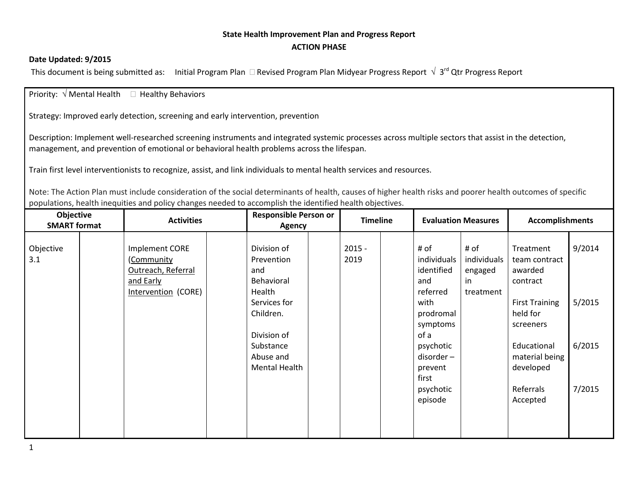## **State Health Improvement Plan and Progress Report ACTION PHASE**

## **Date Updated: 9/2015**

This document is being submitted as: Initial Program Plan  $\Box$  Revised Program Plan Midyear Progress Report  $\sqrt{3}$ rd Qtr Progress Report

Priority:  $\sqrt{ }$  Mental Health  $\Box$  Healthy Behaviors

Strategy: Improved early detection, screening and early intervention, prevention

Description: Implement well-researched screening instruments and integrated systemic processes across multiple sectors that assist in the detection, management, and prevention of emotional or behavioral health problems across the lifespan.

Train first level interventionists to recognize, assist, and link individuals to mental health services and resources.

Note: The Action Plan must include consideration of the social determinants of health, causes of higher health risks and poorer health outcomes of specific populations, health inequities and policy changes needed to accomplish the identified health objectives.

| Objective<br><b>SMART format</b> |           | <b>Activities</b>                                                                |  | <b>Responsible Person or</b><br>Agency                                                                                                          |  | <b>Timeline</b>  |  | <b>Evaluation Measures</b>                                                                                                                                          |                                                   | <b>Accomplishments</b>                                                                                                                                                     |                                      |
|----------------------------------|-----------|----------------------------------------------------------------------------------|--|-------------------------------------------------------------------------------------------------------------------------------------------------|--|------------------|--|---------------------------------------------------------------------------------------------------------------------------------------------------------------------|---------------------------------------------------|----------------------------------------------------------------------------------------------------------------------------------------------------------------------------|--------------------------------------|
| Objective<br>3.1                 | and Early | <b>Implement CORE</b><br>(Community<br>Outreach, Referral<br>Intervention (CORE) |  | Division of<br>Prevention<br>and<br>Behavioral<br>Health<br>Services for<br>Children.<br>Division of<br>Substance<br>Abuse and<br>Mental Health |  | $2015 -$<br>2019 |  | # of<br>individuals<br>identified<br>and<br>referred<br>with<br>prodromal<br>symptoms<br>of a<br>psychotic<br>disorder-<br>prevent<br>first<br>psychotic<br>episode | # of<br>individuals<br>engaged<br>in<br>treatment | Treatment<br>team contract<br>awarded<br>contract<br><b>First Training</b><br>held for<br>screeners<br>Educational<br>material being<br>developed<br>Referrals<br>Accepted | 9/2014<br>5/2015<br>6/2015<br>7/2015 |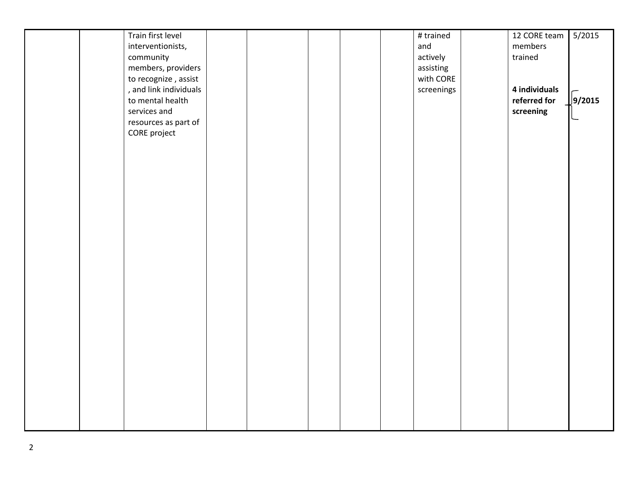|  | Train first level      |  |  | $\overline{\#}$ trained | 12 CORE team  | 5/2015        |
|--|------------------------|--|--|-------------------------|---------------|---------------|
|  |                        |  |  |                         |               |               |
|  | interventionists,      |  |  | and                     | members       |               |
|  | community              |  |  | actively                | trained       |               |
|  | members, providers     |  |  | assisting               |               |               |
|  | to recognize, assist   |  |  | with CORE               |               |               |
|  | , and link individuals |  |  | screenings              | 4 individuals |               |
|  | to mental health       |  |  |                         | referred for  | $\int$ 9/2015 |
|  | services and           |  |  |                         | screening     |               |
|  |                        |  |  |                         |               | L             |
|  | resources as part of   |  |  |                         |               |               |
|  | CORE project           |  |  |                         |               |               |
|  |                        |  |  |                         |               |               |
|  |                        |  |  |                         |               |               |
|  |                        |  |  |                         |               |               |
|  |                        |  |  |                         |               |               |
|  |                        |  |  |                         |               |               |
|  |                        |  |  |                         |               |               |
|  |                        |  |  |                         |               |               |
|  |                        |  |  |                         |               |               |
|  |                        |  |  |                         |               |               |
|  |                        |  |  |                         |               |               |
|  |                        |  |  |                         |               |               |
|  |                        |  |  |                         |               |               |
|  |                        |  |  |                         |               |               |
|  |                        |  |  |                         |               |               |
|  |                        |  |  |                         |               |               |
|  |                        |  |  |                         |               |               |
|  |                        |  |  |                         |               |               |
|  |                        |  |  |                         |               |               |
|  |                        |  |  |                         |               |               |
|  |                        |  |  |                         |               |               |
|  |                        |  |  |                         |               |               |
|  |                        |  |  |                         |               |               |
|  |                        |  |  |                         |               |               |
|  |                        |  |  |                         |               |               |
|  |                        |  |  |                         |               |               |
|  |                        |  |  |                         |               |               |
|  |                        |  |  |                         |               |               |
|  |                        |  |  |                         |               |               |
|  |                        |  |  |                         |               |               |
|  |                        |  |  |                         |               |               |
|  |                        |  |  |                         |               |               |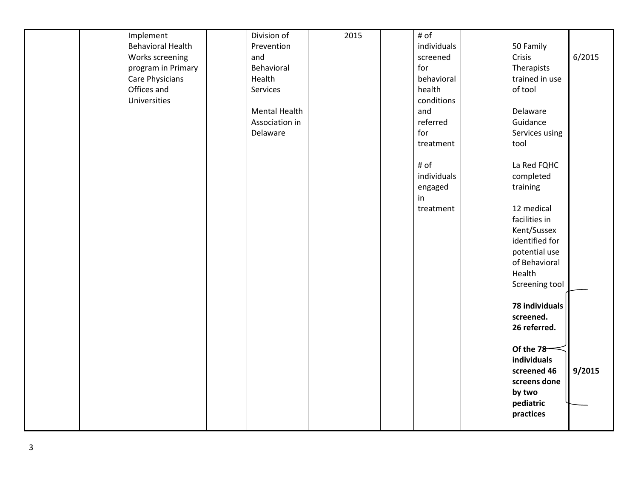|  | Implement                | Division of          | 2015 | # of        |                |        |
|--|--------------------------|----------------------|------|-------------|----------------|--------|
|  | <b>Behavioral Health</b> | Prevention           |      | individuals | 50 Family      |        |
|  | Works screening          | and                  |      | screened    | Crisis         | 6/2015 |
|  | program in Primary       | Behavioral           |      | for         | Therapists     |        |
|  | Care Physicians          | Health               |      | behavioral  | trained in use |        |
|  | Offices and              | Services             |      | health      | of tool        |        |
|  | Universities             |                      |      | conditions  |                |        |
|  |                          | <b>Mental Health</b> |      | and         | Delaware       |        |
|  |                          | Association in       |      | referred    | Guidance       |        |
|  |                          | Delaware             |      | for         | Services using |        |
|  |                          |                      |      | treatment   | tool           |        |
|  |                          |                      |      |             |                |        |
|  |                          |                      |      | # of        | La Red FQHC    |        |
|  |                          |                      |      | individuals | completed      |        |
|  |                          |                      |      | engaged     | training       |        |
|  |                          |                      |      | in          |                |        |
|  |                          |                      |      | treatment   | 12 medical     |        |
|  |                          |                      |      |             | facilities in  |        |
|  |                          |                      |      |             | Kent/Sussex    |        |
|  |                          |                      |      |             | identified for |        |
|  |                          |                      |      |             |                |        |
|  |                          |                      |      |             | potential use  |        |
|  |                          |                      |      |             | of Behavioral  |        |
|  |                          |                      |      |             | Health         |        |
|  |                          |                      |      |             | Screening tool |        |
|  |                          |                      |      |             | 78 individuals |        |
|  |                          |                      |      |             | screened.      |        |
|  |                          |                      |      |             | 26 referred.   |        |
|  |                          |                      |      |             |                |        |
|  |                          |                      |      |             | Of the 78      |        |
|  |                          |                      |      |             | individuals    |        |
|  |                          |                      |      |             | screened 46    | 9/2015 |
|  |                          |                      |      |             | screens done   |        |
|  |                          |                      |      |             | by two         |        |
|  |                          |                      |      |             | pediatric      |        |
|  |                          |                      |      |             | practices      |        |
|  |                          |                      |      |             |                |        |
|  |                          |                      |      |             |                |        |